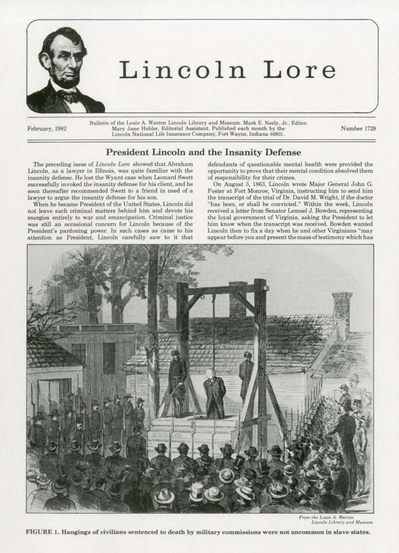

# **Lincoln Lore**

Bulletin of the Louis A. Warren Lincoln Library and Museum. Mark E. Neely, Jr., Editor. Mary Jane Hubler, Editorial Assistant. Published each month by the I James Hubler, Editorial Assistant. Published each month by the Number 1728<br>Lincoln National Life Insurance Company, Fort Wayne, Indiana 46801.

## President Lincoln and the Insanity Defense

The preceding issue of *Lincoln Lore* showed that Abraham Lincoln, as a lawyer in Ulinois, was quite familiar with the insanity defense. He lost the Wyant case when Leonard Swett successfully invoked the insanity defense for his client, and he soon thereafter recommended Swett to a friend in need of a lawyer to argue the insanity defense for his son.

When he became President of the United States, Lincoln did not leave such criminal matters behind him and devote his energies entirely to war and emancipation. Criminal justice was still an occasional concern for Lincoln because of the President's pardoning power. In such cases as came to his attention as President, Lincoln carefully saw to it that defendants of questionable mental health were provided the opportunity to prove that their mental condition absolved them of responsibility for their crimes.

On August 3, 1863. Lincoln wrote Major General John G. Foster at Fort. Monroe, Virginia, instructing him to send him the transcript of the trial of Dr. David M. Wright, if the doctor "has been, or shall be convicted." Within the week, Lincoln received a letter from Senator Lemuel J. Bowden, representing the loyal government of Virginia, asking the President to let him know when the transcript was received. Bowden wanted Lincoln then to fix a day when he and other Virginians "may appear before you and present themassoftestimony which has



*From the Louis A. Warren*<br>Lincoln Library and Museum

FIGURE 1. Hangings of civilians sentenced to death by military commissions were not uncommon in slave states.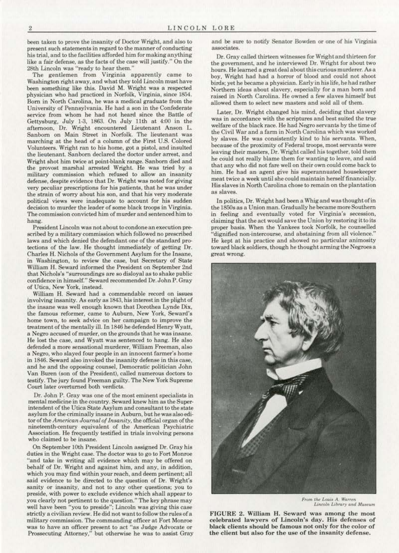been taken to prove the insanity of Doctor Wright, and also to present such statements in regard to the manner of conducting his trial, and to the facilities afforded him for making anything like a fair defense, as the facts of the case will justify." On the 28th Lincoln was "ready to hear them."

The gentlemen from Virginia apparently came to Washington right away, and what they told Lincoln must have been something like this. David M. Wright was a respected phygician who had practiced in Norfolk, Virginia, since 1854. Bom in North Carolina, be was a medical graduate from the University of Pennsylvania. He had a son in the Confederate service from whom he had not heard since the Battle of Gettysburg, July 1-3, 1863. On July lllh at 4:00 in the afternoon, Dr. Wright encountered Lieutenant Anson L. Sanborn on Main Street in Norfolk. The lieutenant was marching at the head of a column of the First U.S. Colored Volunteers. Wright ran to his home, got a pistol, and insulted the lieutenant. Sanborn declared the doctor under arrest, and Wright shot him twice at point-blank range. Sanborn died and the provost marshal arrested Wright. He was tried by a military commission which refused to allow an insanity defense, despite evidence that Dr. Wright was noted for giving very peculiar prescriptions for his patients, that he was under the strain of worry about his son, and that his very moderate political views were inadequate to account for his sudden decision to murder the leader of some black troops in Virginia. The commission convicted him of murder and sentenced him to hang.

President Lincoln was not about to condone an execution prescribed by a military commission which followed no prescribed laws and which denied the defendant one of the standard protections of the law. He thought immediately of getting Dr. Charles H. Nichols of the Government Asylum for the Insane, in Washington, to review the case, but Secretary of State William H. Seward informed the President on September 2nd that Nichols's ''surroundings are so disloyal as to shake public confidence in himself." Seward recommended Dr. John P. Gray of Utica, New York, instead.

William H. Seward had a commendable record on issues involving insanity. *As* early as J843, his interest in the plight of the insane was well enough known that Dorothea Lynde Dix, the famous reformer, came to Auburn, New York, Seward's home town, to seek advice on her campaign to improve the treatment of the mentally ill. In 1846 he defended Henry Wyatt, a Negro accused of murder. on the grounds that he was insane. He lost the case, and Wyatt was sentenced to hang. He also defended a more sensational murderer, William F'reeman, also a Negro, who slayed four people in an innocent farmer's home in 1846. Seward also invoked the insanity defense in this case, and he and the opposing counsel, Democratic politician John Van Buren (son of the President), called numerous doctors to testify. The jury found Freeman guilty. The New York Supreme Court later overturned both verdicts.

Dr. John P. Gray was one of the most eminent specialists in mental medicine in the country. Seward knew him as the Superintendent of the Utica State Asylum and consultant to the state asylum for the criminally insane in Auburn, but he was also editor of the *American Journal of Insanity,* the official organ of the nineteenth-century equivalent of the American Psychiatric Association. He frequently testified in trials involving persons who claimed to be insane.

On September lOth President Lincoln assigned Dr. Gray his duties in the Wright case. The doctor was to go to Fort Monroe "and take in writing all evidence which may be offered on behalf of Dr. Wright and against him, and any, in addition, which you may find within your reach, and deem pertinent; all said evidence to be directed to the question of Dr. Wright's sanity or insanity, and not to any other questions; you to preside, with power to exclude evidence which shall appear to you clearly not pertinent to the question." The key phrase may well have been "you to preside"; Lincoln was giving this case strictly a civilian review. He did not want to follow the rules of a military commission. The commanding officer at Fort Monroe was to have an officer present to act "as Judge Advocate or Prossecuting Attorney,'' but otherwise he was to assist Gray and be sure to notify Senator Bowden or one of his Virginia associates.

Dr. Gray ca lled thirteen witnesses for Wright and thirteen for the government, and he interviewed Dr. Wright for about two hours. He learned a great deal about this curious murderer. As a boy, Wright had had a horror of blood and could not shoot birds; yet he became a physician. Early in his life, he had rather Northern ideas about slavery, especially for a man born and raised in North Carolina. He owned a few slaves himself but allowed them to select new masters and sold all of them.

Later, Dr. Wright changed his mind, deciding that slavery was in accordance with the scriptures and best suited the true welfare of the black race. He had Negro servants by the time of the Civil War and a farm in North Carolina which was worked by slaves. He was consistently kind to his servants. When, because of the proximity of Federal troops, most servants were leaving their masters, Dr. Wright called his together, told them he could not really blame them for wanting to leave, and said that any who did not fare well on their own could come back to him. He had an agent give his superannuated housekeeper meat twice a week until she could maintain herself financially. His slaves in North Carolina chose to remain on the plantation as slaves.

In polities, Dr. Wright had been a Whig and wasthoughtofin the 1850s as a Union man. Gradually he became more Southern in feeling and eventually voted for Virginia's secession, claiming that the act would save the Union by restoring it to its proper basis. When the Yankees took Norfolk, he counselled "dignified non-intercourse, and abstaining from all violence.'' He kept at his practice and showed no particular animosity toward black soldiers, though he thought arming the Negroes a great wrong.



*From the Louis A. Warren*<br>*Lincoln Library and Museum* 

FIGURE 2. William H. Seward was among the most celebrated lawyers of Lincoln's day. His defenses of black clients should be famous not only for the color of the client but also for the use of the insanity defense.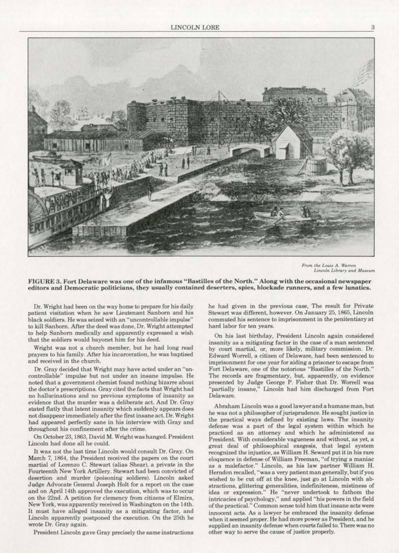

From the Louis A. Warren Lincoln Library and Museum

FIGURE 3. Fort Delaware was one of the infamous "Bastilles of the North." Along with the occasional newspaper editors and Democratic politicians, they usually contained deserters, spies, blockade runners, and a few lunatics.

Dr. Wright had been on the way home to prepare for his daily patient visitation when he saw Lieutenant Sanborn and his black soldiers. He was seized with an "uncontrollable impulse" to kill Sanborn. After the deed was done, Dr. Wright attempted to help Sanborn medically and apparently expressed a wish that the soldiers would bayonet him for his deed.

Wright was not a church member, but he had long read prayers to his family. After his incarceration, he was baptised and received in the church.

Dr. Gray decided that Wright may have acted under an "uncontrollable" impulse but not under an insane impulse. He noted that a government chemist found nothing bizarre about the doctor's prescriptions. Gray cited the facts that Wright had no hallucinations and no previous symptoms of insanity as evidence that the murder was a deliberate act. And Dr. Gray stated flatly that latent insanity which suddenly appears does not disappear immediately after the first insane act. Dr. Wright had appeared perfectly sane in his interview with Gray and throughout his confinement after the crime.

On October 23, 1863, David M. Wright was hanged. President Lincoln had done all he could.

It was not the last time Lincoln would consult Dr. Gray. On March 7, 1864, the President received the papers on the court martial of Lorenzo C. Stewart (alias Shear), a private in the Fourteenth New York Artillery. Stewart had been convicted of desertion and murder (poisoning soldiers). Lincoln asked Judge Advocate General Joseph Holt for a report on the case and on April 14th approved the execution, which was to occur on the 22nd. A petition for clemency from citizens of Elmira, New York, was apparently received in Washington on the 14th. It must have alleged insanity as a mitigating factor, and Lincoln apparently postponed the execution. On the 25th he wrote Dr. Gray again.

President Lincoln gave Gray precisely the same instructions

he had given in the previous case, The result for Private Stewart was different, however. On January 25, 1865, Lincoln commuted his sentence to imprisonment in the penitentiary at hard labor for ten years.

On his last birthday, President Lincoln again considered insanity as a mitigating factor in the case of a man sentenced by court martial, or, more likely, military commission. Dr. Edward Worrell, a citizen of Delaware, had been sentenced to imprisonment for one year for aiding a prisoner to escape from Fort Delaware, one of the notorious "Bastilles of the North." The records are fragmentary, but, apparently, on evidence presented by Judge George P. Fisher that Dr. Worrell was "partially insane," Lincoln had him discharged from Fort Delaware.

Abraham Lincoln was a good lawyer and a humane man, but he was not a philosopher of jurisprudence. He sought justice in the practical ways defined by existing laws. The insanity defense was a part of the legal system within which he practiced as an attorney and which he administered as President. With considerable vagueness and without, as yet, a great deal of philosophical exegesis, that legal system recognized the injustice, as William H. Seward put it in his rare eloquence in defense of William Freeman, "of trying a maniac as a malefactor." Lincoln, as his law partner William H.<br>Herndon recalled, "was a very patient man generally, but if you wished to be cut off at the knee, just go at Lincoln with abstractions, glittering generalities, indefiniteness, mistiness of idea or expression." He "never undertook to fathom the intricacies of psychology," and applied "his powers in the field of the practical." Common sense told him that insane acts were innocent acts. As a lawyer he embraced the insanity defense when it seemed proper. He had more power as President, and he supplied an insanity defense when courts failed to. There was no other way to serve the cause of justice properly.